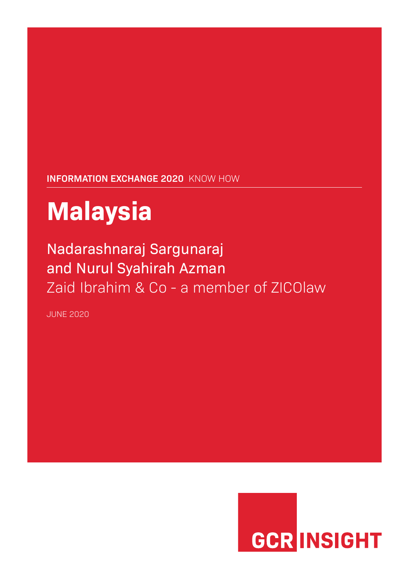## **INFORMATION EXCHANGE 2020** KNOW HOW

# **Malaysia**

# Nadarashnaraj Sargunaraj and Nurul Syahirah Azman Zaid Ibrahim & Co - a member of ZICOlaw

JUNE 2020

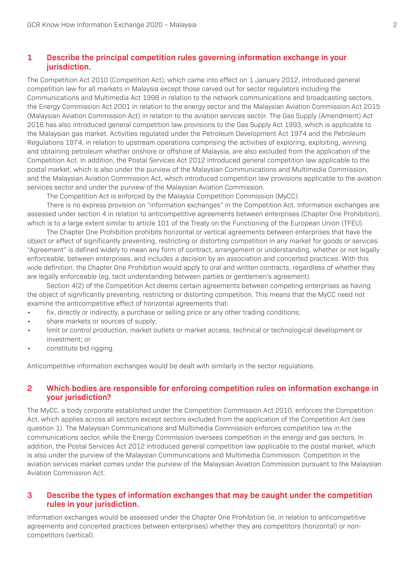#### **1 Describe the principal competition rules governing information exchange in your jurisdiction.**

The Competition Act 2010 (Competition Act), which came into effect on 1 January 2012, introduced general competition law for all markets in Malaysia except those carved out for sector regulators including the Communications and Multimedia Act 1998 in relation to the network communications and broadcasting sectors, the Energy Commission Act 2001 in relation to the energy sector and the Malaysian Aviation Commission Act 2015 (Malaysian Aviation Commission Act) in relation to the aviation services sector. The Gas Supply (Amendment) Act 2016 has also introduced general competition law provisions to the Gas Supply Act 1993, which is applicable to the Malaysian gas market. Activities regulated under the Petroleum Development Act 1974 and the Petroleum Regulations 1974, in relation to upstream operations comprising the activities of exploring, exploiting, winning and obtaining petroleum whether onshore or offshore of Malaysia, are also excluded from the application of the Competition Act. In addition, the Postal Services Act 2012 introduced general competition law applicable to the postal market, which is also under the purview of the Malaysian Communications and Multimedia Commission, and the Malaysian Aviation Commission Act, which introduced competition law provisions applicable to the aviation services sector and under the purview of the Malaysian Aviation Commission.

The Competition Act is enforced by the Malaysia Competition Commission (MyCC).

There is no express provision on "information exchanges" in the Competition Act. Information exchanges are assessed under section 4 in relation to anticompetitive agreements between enterprises (Chapter One Prohibition), which is to a large extent similar to article 101 of the Treaty on the Functioning of the European Union (TFEU).

The Chapter One Prohibition prohibits horizontal or vertical agreements between enterprises that have the object or effect of significantly preventing, restricting or distorting competition in any market for goods or services. "Agreement" is defined widely to mean any form of contract, arrangement or understanding, whether or not legally enforceable, between enterprises, and includes a decision by an association and concerted practices. With this wide definition, the Chapter One Prohibition would apply to oral and written contracts, regardless of whether they are legally enforceable (eg, tacit understanding between parties or gentlemen's agreement).

Section 4(2) of the Competition Act deems certain agreements between competing enterprises as having the object of significantly preventing, restricting or distorting competition. This means that the MyCC need not examine the anticompetitive effect of horizontal agreements that:

- fix, directly or indirectly, a purchase or selling price or any other trading conditions;
- share markets or sources of supply;
- limit or control production, market outlets or market access, technical or technological development or investment; or
- constitute bid rigging.

Anticompetitive information exchanges would be dealt with similarly in the sector regulations.

#### **2 Which bodies are responsible for enforcing competition rules on information exchange in your jurisdiction?**

The MyCC, a body corporate established under the Competition Commission Act 2010, enforces the Competition Act, which applies across all sectors except sectors excluded from the application of the Competition Act (see question 1). The Malaysian Communications and Multimedia Commission enforces competition law in the communications sector, while the Energy Commission oversees competition in the energy and gas sectors. In addition, the Postal Services Act 2012 introduced general competition law applicable to the postal market, which is also under the purview of the Malaysian Communications and Multimedia Commission. Competition in the aviation services market comes under the purview of the Malaysian Aviation Commission pursuant to the Malaysian Aviation Commission Act.

#### **3 Describe the types of information exchanges that may be caught under the competition rules in your jurisdiction.**

Information exchanges would be assessed under the Chapter One Prohibition (ie, in relation to anticompetitive agreements and concerted practices between enterprises) whether they are competitors (horizontal) or noncompetitors (vertical).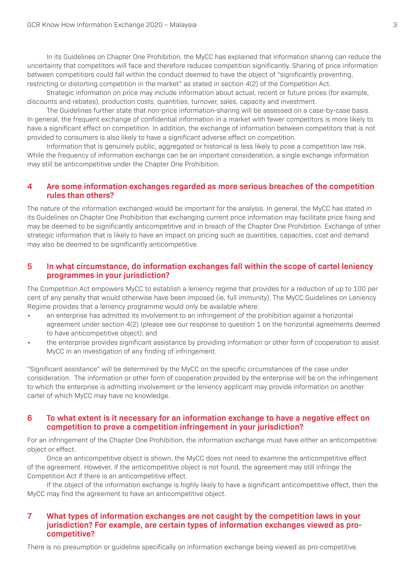In its Guidelines on Chapter One Prohibition, the MyCC has explained that information sharing can reduce the uncertainty that competitors will face and therefore reduces competition significantly. Sharing of price information between competitiors could fall within the conduct deemed to have the object of "significantly preventing, restricting or distorting competition in the market" as stated in section 4(2) of the Competition Act.

Strategic information on price may include information about actual, recent or future prices (for example, discounts and rebates), production costs, quantities, turnover, sales, capacity and investment.

The Guidelines further state that non-price information-sharing will be assessed on a case-by-case basis. In general, the frequent exchange of confidential information in a market with fewer competitors is more likely to have a significant effect on competition. In addition, the exchange of information between competitors that is not provided to consumers is also likely to have a significant adverse effect on competition.

Information that is genuinely public, aggregated or historical is less likely to pose a competition law risk. While the frequency of information exchange can be an important consideration, a single exchange information may still be anticompetitive under the Chapter One Prohibition.

#### **4 Are some information exchanges regarded as more serious breaches of the competition rules than others?**

The nature of the information exchanged would be important for the analysis. In general, the MyCC has stated in its Guidelines on Chapter One Prohibition that exchanging current price information may facilitate price fixing and may be deemed to be significantly anticompetitive and in breach of the Chapter One Prohibition. Exchange of other strategic information that is likely to have an impact on pricing such as quantities, capacities, cost and demand may also be deemed to be significantly anticompetitive.

#### **5 In what circumstance, do information exchanges fall within the scope of cartel leniency programmes in your jurisdiction?**

The Competition Act empowers MyCC to establish a leniency regime that provides for a reduction of up to 100 per cent of any penalty that would otherwise have been imposed (ie, full immunity). The MyCC Guidelines on Leniency Regime provides that a leniency programme would only be available where:

- an enterprise has admitted its involvement to an infringement of the prohibition against a horizontal agreement under section 4(2) (please see our response to question 1 on the horizontal agreements deemed to have anticompetitive object); and
- the enterprise provides significant assistance by providing information or other form of cooperation to assist MyCC in an investigation of any finding of infringement.

"Significant assistance" will be determined by the MyCC on the specific circumstances of the case under consideration. The information or other form of cooperation provided by the enterprise will be on the infringement to which the enterprise is admitting involvement or the leniency applicant may provide information on another cartel of which MyCC may have no knowledge.

#### **6 To what extent is it necessary for an information exchange to have a negative effect on competition to prove a competition infringement in your jurisdiction?**

For an infringement of the Chapter One Prohibition, the information exchange must have either an anticompetitive object or effect.

Once an anticompetitive object is shown, the MyCC does not need to examine the anticompetitive effect of the agreement. However, if the anticompetitive object is not found, the agreement may still infringe the Competition Act if there is an anticompetitive effect.

If the object of the information exchange is highly likely to have a significant anticompetitive effect, then the MyCC may find the agreement to have an anticompetitive object.

#### **7 What types of information exchanges are not caught by the competition laws in your jurisdiction? For example, are certain types of information exchanges viewed as procompetitive?**

There is no presumption or guideline specifically on information exchange being viewed as pro-competitive.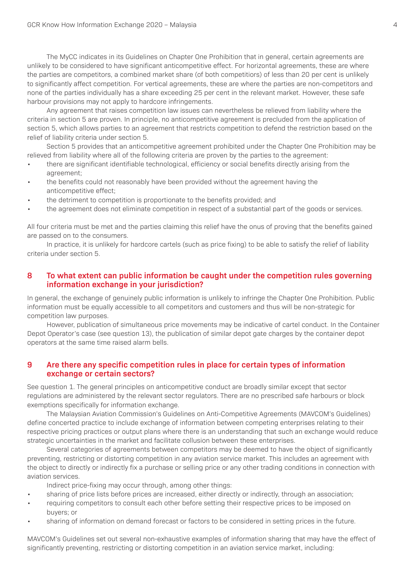The MyCC indicates in its Guidelines on Chapter One Prohibition that in general, certain agreements are unlikely to be considered to have significant anticompetitive effect. For horizontal agreements, these are where the parties are competitors, a combined market share (of both competitiors) of less than 20 per cent is unlikely to significantly affect competition. For vertical agreements, these are where the parties are non-competitors and none of the parties individually has a share exceeding 25 per cent in the relevant market. However, these safe harbour provisions may not apply to hardcore infringements.

Any agreement that raises competition law issues can nevertheless be relieved from liability where the criteria in section 5 are proven. In principle, no anticompetitive agreement is precluded from the application of section 5, which allows parties to an agreement that restricts competition to defend the restriction based on the relief of liability criteria under section 5.

Section 5 provides that an anticompetitive agreement prohibited under the Chapter One Prohibition may be relieved from liability where all of the following criteria are proven by the parties to the agreement:

- there are significant identifiable technological, efficiency or social benefits directly arising from the agreement;
- the benefits could not reasonably have been provided without the agreement having the anticompetitive effect;
- the detriment to competition is proportionate to the benefits provided; and
- the agreement does not eliminate competition in respect of a substantial part of the goods or services.

All four criteria must be met and the parties claiming this relief have the onus of proving that the benefits gained are passed on to the consumers.

In practice, it is unlikely for hardcore cartels (such as price fixing) to be able to satisfy the relief of liability criteria under section 5.

#### **8 To what extent can public information be caught under the competition rules governing information exchange in your jurisdiction?**

In general, the exchange of genuinely public information is unlikely to infringe the Chapter One Prohibition. Public information must be equally accessible to all competitors and customers and thus will be non-strategic for competition law purposes.

However, publication of simultaneous price movements may be indicative of cartel conduct. In the Container Depot Operator's case (see question 13), the publication of similar depot gate charges by the container depot operators at the same time raised alarm bells.

#### **9 Are there any specific competition rules in place for certain types of information exchange or certain sectors?**

See question 1. The general principles on anticompetitive conduct are broadly similar except that sector regulations are administered by the relevant sector regulators. There are no prescribed safe harbours or block exemptions specifically for information exchange.

The Malaysian Aviation Commission's Guidelines on Anti-Competitive Agreements (MAVCOM's Guidelines) define concerted practice to include exchange of information between competing enterprises relating to their respective pricing practices or output plans where there is an understanding that such an exchange would reduce strategic uncertainties in the market and facilitate collusion between these enterprises.

Several categories of agreements between competitors may be deemed to have the object of significantly preventing, restricting or distorting competition in any aviation service market. This includes an agreement with the object to directly or indirectly fix a purchase or selling price or any other trading conditions in connection with aviation services.

Indirect price-fixing may occur through, among other things:

- sharing of price lists before prices are increased, either directly or indirectly, through an association;
- requiring competitors to consult each other before setting their respective prices to be imposed on buyers; or
- sharing of information on demand forecast or factors to be considered in setting prices in the future.

MAVCOM's Guidelines set out several non-exhaustive examples of information sharing that may have the effect of significantly preventing, restricting or distorting competition in an aviation service market, including: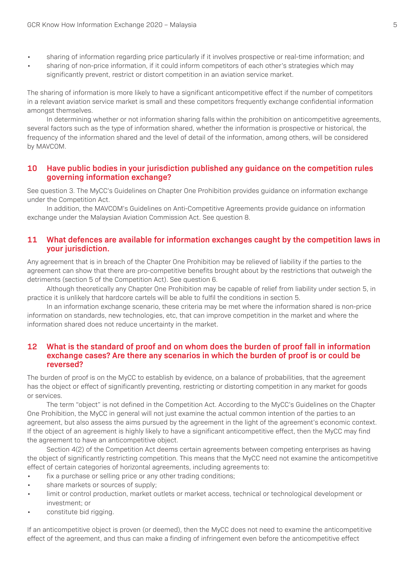- sharing of information regarding price particularly if it involves prospective or real-time information; and
- sharing of non-price information, if it could inform competitors of each other's strategies which may significantly prevent, restrict or distort competition in an aviation service market.

The sharing of information is more likely to have a significant anticompetitive effect if the number of competitors in a relevant aviation service market is small and these competitors frequently exchange confidential information amongst themselves.

In determining whether or not information sharing falls within the prohibition on anticompetitive agreements, several factors such as the type of information shared, whether the information is prospective or historical, the frequency of the information shared and the level of detail of the information, among others, will be considered by MAVCOM.

#### **10 Have public bodies in your jurisdiction published any guidance on the competition rules governing information exchange?**

See question 3. The MyCC's Guidelines on Chapter One Prohibition provides guidance on information exchange under the Competition Act.

In addition, the MAVCOM's Guidelines on Anti-Competitive Agreements provide guidance on information exchange under the Malaysian Aviation Commission Act. See question 8.

#### **11 What defences are available for information exchanges caught by the competition laws in your jurisdiction.**

Any agreement that is in breach of the Chapter One Prohibition may be relieved of liability if the parties to the agreement can show that there are pro-competitive benefits brought about by the restrictions that outweigh the detriments (section 5 of the Competition Act). See question 6.

Although theoretically any Chapter One Prohibition may be capable of relief from liability under section 5, in practice it is unlikely that hardcore cartels will be able to fulfil the conditions in section 5.

In an information exchange scenario, these criteria may be met where the information shared is non-price information on standards, new technologies, etc, that can improve competition in the market and where the information shared does not reduce uncertainty in the market.

#### **12 What is the standard of proof and on whom does the burden of proof fall in information exchange cases? Are there any scenarios in which the burden of proof is or could be reversed?**

The burden of proof is on the MyCC to establish by evidence, on a balance of probabilities, that the agreement has the object or effect of significantly preventing, restricting or distorting competition in any market for goods or services.

The term "object" is not defined in the Competition Act. According to the MyCC's Guidelines on the Chapter One Prohibition, the MyCC in general will not just examine the actual common intention of the parties to an agreement, but also assess the aims pursued by the agreement in the light of the agreement's economic context. If the object of an agreement is highly likely to have a significant anticompetitive effect, then the MyCC may find the agreement to have an anticompetitive object.

Section 4(2) of the Competition Act deems certain agreements between competing enterprises as having the object of significantly restricting competition. This means that the MyCC need not examine the anticompetitive effect of certain categories of horizontal agreements, including agreements to:

- fix a purchase or selling price or any other trading conditions;
- share markets or sources of supply;
- limit or control production, market outlets or market access, technical or technological development or investment; or
- constitute bid rigging.

If an anticompetitive object is proven (or deemed), then the MyCC does not need to examine the anticompetitive effect of the agreement, and thus can make a finding of infringement even before the anticompetitive effect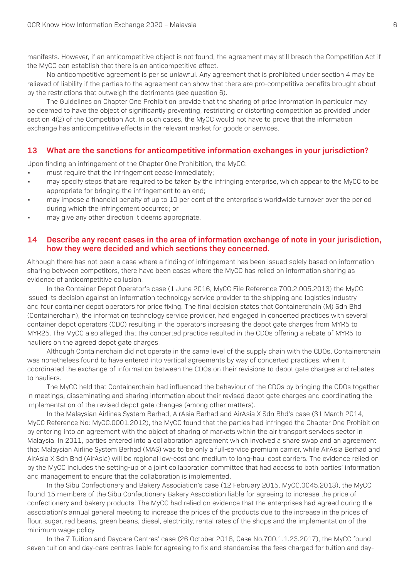manifests. However, if an anticompetitive object is not found, the agreement may still breach the Competition Act if the MyCC can establish that there is an anticompetitive effect.

No anticompetitive agreement is per se unlawful. Any agreement that is prohibited under section 4 may be relieved of liability if the parties to the agreement can show that there are pro-competitive benefits brought about by the restrictions that outweigh the detriments (see question 6).

The Guidelines on Chapter One Prohibition provide that the sharing of price information in particular may be deemed to have the object of significantly preventing, restricting or distorting competition as provided under section 4(2) of the Competition Act. In such cases, the MyCC would not have to prove that the information exchange has anticompetitive effects in the relevant market for goods or services.

#### **13 What are the sanctions for anticompetitive information exchanges in your jurisdiction?**

Upon finding an infringement of the Chapter One Prohibition, the MyCC:

- must require that the infringement cease immediately;
- may specify steps that are required to be taken by the infringing enterprise, which appear to the MyCC to be appropriate for bringing the infringement to an end;
- may impose a financial penalty of up to 10 per cent of the enterprise's worldwide turnover over the period during which the infringement occurred; or
- may give any other direction it deems appropriate.

#### **14 Describe any recent cases in the area of information exchange of note in your jurisdiction, how they were decided and which sections they concerned.**

Although there has not been a case where a finding of infringement has been issued solely based on information sharing between competitors, there have been cases where the MyCC has relied on information sharing as evidence of anticompetitive collusion.

In the Container Depot Operator's case (1 June 2016, MyCC File Reference 700.2.005.2013) the MyCC issued its decision against an information technology service provider to the shipping and logistics industry and four container depot operators for price fixing. The final decision states that Containerchain (M) Sdn Bhd (Containerchain), the information technology service provider, had engaged in concerted practices with several container depot operators (CDO) resulting in the operators increasing the depot gate charges from MYR5 to MYR25. The MyCC also alleged that the concerted practice resulted in the CDOs offering a rebate of MYR5 to hauliers on the agreed depot gate charges.

Although Containerchain did not operate in the same level of the supply chain with the CDOs, Containerchain was nonetheless found to have entered into vertical agreements by way of concerted practices, when it coordinated the exchange of information between the CDOs on their revisions to depot gate charges and rebates to hauliers.

The MyCC held that Containerchain had influenced the behaviour of the CDOs by bringing the CDOs together in meetings, disseminating and sharing information about their revised depot gate charges and coordinating the implementation of the revised depot gate changes (among other matters).

In the Malaysian Airlines System Berhad, AirAsia Berhad and AirAsia X Sdn Bhd's case (31 March 2014, MyCC Reference No: MyCC.0001.2012), the MyCC found that the parties had infringed the Chapter One Prohibition by entering into an agreement with the object of sharing of markets within the air transport services sector in Malaysia. In 2011, parties entered into a collaboration agreement which involved a share swap and an agreement that Malaysian Airline System Berhad (MAS) was to be only a full-service premium carrier, while AirAsia Berhad and AirAsia X Sdn Bhd (AirAsia) will be regional low-cost and medium to long-haul cost carriers. The evidence relied on by the MyCC includes the setting-up of a joint collaboration committee that had access to both parties' information and management to ensure that the collaboration is implemented.

In the Sibu Confectionery and Bakery Association's case (12 February 2015, MyCC.0045.2013), the MyCC found 15 members of the Sibu Confectionery Bakery Association liable for agreeing to increase the price of confectionery and bakery products. The MyCC had relied on evidence that the enterprises had agreed during the association's annual general meeting to increase the prices of the products due to the increase in the prices of flour, sugar, red beans, green beans, diesel, electricity, rental rates of the shops and the implementation of the minimum wage policy.

In the 7 Tuition and Daycare Centres' case (26 October 2018, Case No.700.1.1.23.2017), the MyCC found seven tuition and day-care centres liable for agreeing to fix and standardise the fees charged for tuition and day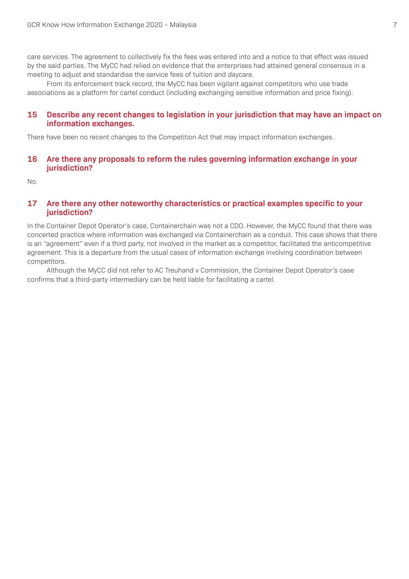care services. The agreement to collectively fix the fees was entered into and a notice to that effect was issued by the said parties. The MyCC had relied on evidence that the enterprises had attained general consensus in a meeting to adjust and standardise the service fees of tuition and daycare.

From its enforcement track record, the MyCC has been vigilant against competitors who use trade associations as a platform for cartel conduct (including exchanging sensitive information and price fixing).

#### **15 Describe any recent changes to legislation in your jurisdiction that may have an impact on information exchanges.**

There have been no recent changes to the Competition Act that may impact information exchanges.

#### **16 Are there any proposals to reform the rules governing information exchange in your jurisdiction?**

No.

#### **17 Are there any other noteworthy characteristics or practical examples specific to your jurisdiction?**

In the Container Depot Operator's case, Containerchain was not a CDO. However, the MyCC found that there was concerted practice where information was exchanged via Containerchain as a conduit. This case shows that there is an "agreement" even if a third party, not involved in the market as a competitor, facilitated the anticompetitive agreement. This is a departure from the usual cases of information exchange involving coordination between competitors.

Although the MyCC did not refer to AC Treuhand v Commission, the Container Depot Operator's case confirms that a third-party intermediary can be held liable for facilitating a cartel.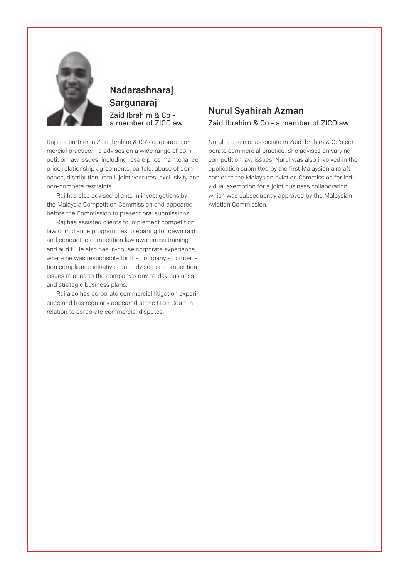

### **Nadarashnaraj Sargunaraj** Zaid Ibrahim & Co a member of ZICOlaw

Raj is a partner in Zaid Ibrahim & Co's corporate commercial practice. He advises on a wide range of competition law issues, including resale price maintenance, price relationship agreements, cartels, abuse of dominance, distribution, retail, joint ventures, exclusivity and non-compete restraints.

Raj has also advised clients in investigations by the Malaysia Competition Commission and appeared before the Commission to present oral submissions.

Raj has assisted clients to implement competition law compliance programmes, preparing for dawn raid and conducted competition law awareness training and audit. He also has in-house corporate experience, where he was responsible for the company's competition compliance initiatives and advised on competition issues relating to the company's day-to-day business and strategic business plans.

Raj also has corporate commercial litigation experience and has regularly appeared at the High Court in relation to corporate commercial disputes.

### **Nurul Syahirah Azman** Zaid Ibrahim & Co - a member of ZICOlaw

Nurul is a senior associate in Zaid Ibrahim & Co's corporate commercial practice. She advises on varying competition law issues. Nurul was also involved in the application submitted by the first Malaysian aircraft carrier to the Malaysian Aviation Commission for individual exemption for a joint business collaboration which was subsequently approved by the Malaysian Aviation Commission.